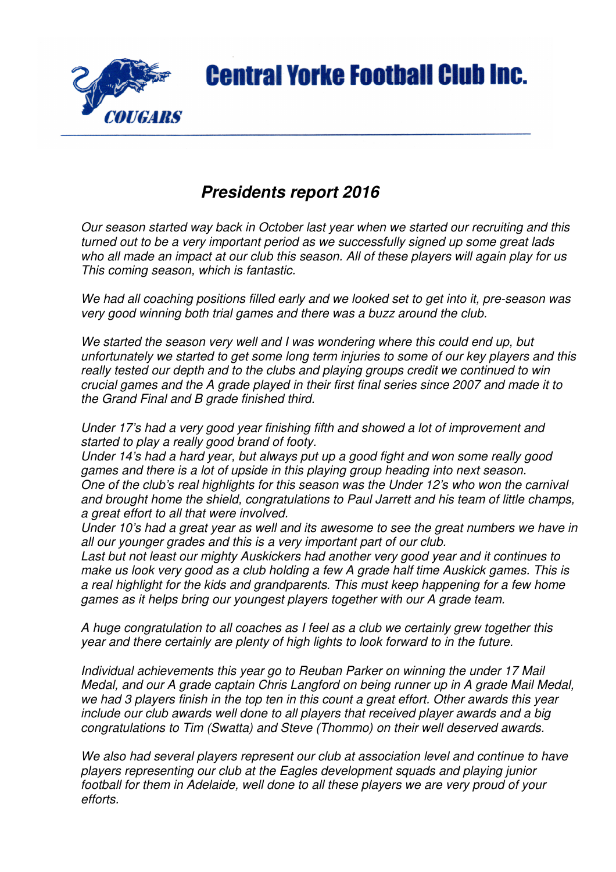

## **Presidents report 2016**

Our season started way back in October last year when we started our recruiting and this turned out to be a very important period as we successfully signed up some great lads who all made an impact at our club this season. All of these players will again play for us This coming season, which is fantastic.

We had all coaching positions filled early and we looked set to get into it, pre-season was very good winning both trial games and there was a buzz around the club.

We started the season very well and I was wondering where this could end up, but unfortunately we started to get some long term injuries to some of our key players and this really tested our depth and to the clubs and playing groups credit we continued to win crucial games and the A grade played in their first final series since 2007 and made it to the Grand Final and B grade finished third.

Under 17's had a very good year finishing fifth and showed a lot of improvement and started to play a really good brand of footy.

Under 14's had a hard year, but always put up a good fight and won some really good games and there is a lot of upside in this playing group heading into next season. One of the club's real highlights for this season was the Under 12's who won the carnival and brought home the shield, congratulations to Paul Jarrett and his team of little champs, a great effort to all that were involved.

Under 10's had a great year as well and its awesome to see the great numbers we have in all our younger grades and this is a very important part of our club.

Last but not least our mighty Auskickers had another very good year and it continues to make us look very good as a club holding a few A grade half time Auskick games. This is a real highlight for the kids and grandparents. This must keep happening for a few home games as it helps bring our youngest players together with our A grade team.

A huge congratulation to all coaches as I feel as a club we certainly grew together this year and there certainly are plenty of high lights to look forward to in the future.

Individual achievements this year go to Reuban Parker on winning the under 17 Mail Medal, and our A grade captain Chris Langford on being runner up in A grade Mail Medal, we had 3 players finish in the top ten in this count a great effort. Other awards this year include our club awards well done to all players that received player awards and a big congratulations to Tim (Swatta) and Steve (Thommo) on their well deserved awards.

We also had several players represent our club at association level and continue to have players representing our club at the Eagles development squads and playing junior football for them in Adelaide, well done to all these players we are very proud of your efforts.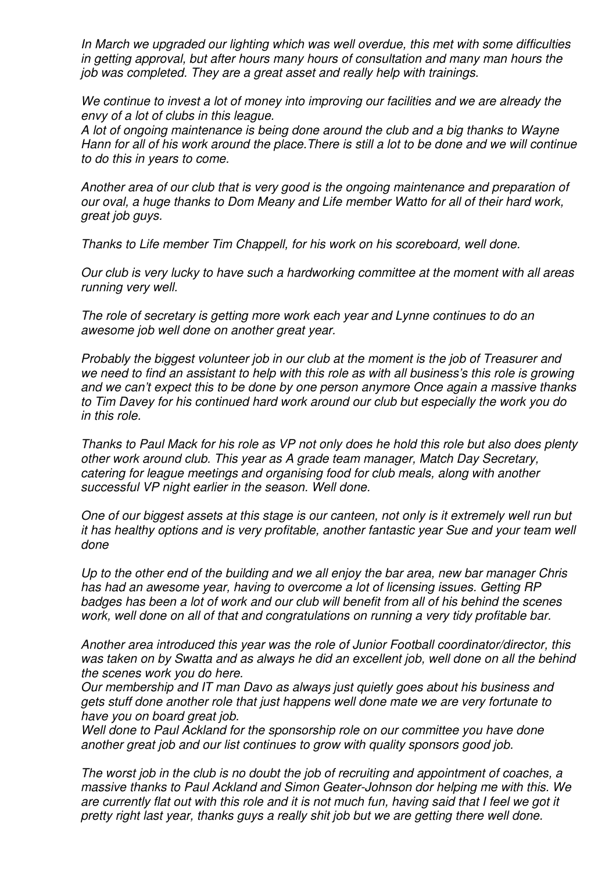In March we upgraded our lighting which was well overdue, this met with some difficulties in getting approval, but after hours many hours of consultation and many man hours the job was completed. They are a great asset and really help with trainings.

We continue to invest a lot of money into improving our facilities and we are already the envy of a lot of clubs in this league.

A lot of ongoing maintenance is being done around the club and a big thanks to Wayne Hann for all of his work around the place.There is still a lot to be done and we will continue to do this in years to come.

Another area of our club that is very good is the ongoing maintenance and preparation of our oval, a huge thanks to Dom Meany and Life member Watto for all of their hard work, great job guys.

Thanks to Life member Tim Chappell, for his work on his scoreboard, well done.

Our club is very lucky to have such a hardworking committee at the moment with all areas running very well.

The role of secretary is getting more work each year and Lynne continues to do an awesome job well done on another great year.

Probably the biggest volunteer job in our club at the moment is the job of Treasurer and we need to find an assistant to help with this role as with all business's this role is growing and we can't expect this to be done by one person anymore Once again a massive thanks to Tim Davey for his continued hard work around our club but especially the work you do in this role.

Thanks to Paul Mack for his role as VP not only does he hold this role but also does plenty other work around club. This year as A grade team manager, Match Day Secretary, catering for league meetings and organising food for club meals, along with another successful VP night earlier in the season. Well done.

One of our biggest assets at this stage is our canteen, not only is it extremely well run but it has healthy options and is very profitable, another fantastic year Sue and your team well done

Up to the other end of the building and we all enjoy the bar area, new bar manager Chris has had an awesome year, having to overcome a lot of licensing issues. Getting RP badges has been a lot of work and our club will benefit from all of his behind the scenes work, well done on all of that and congratulations on running a very tidy profitable bar.

Another area introduced this year was the role of Junior Football coordinator/director, this was taken on by Swatta and as always he did an excellent job, well done on all the behind the scenes work you do here.

Our membership and IT man Davo as always just quietly goes about his business and gets stuff done another role that just happens well done mate we are very fortunate to have you on board great job.

Well done to Paul Ackland for the sponsorship role on our committee you have done another great job and our list continues to grow with quality sponsors good job.

The worst job in the club is no doubt the job of recruiting and appointment of coaches, a massive thanks to Paul Ackland and Simon Geater-Johnson dor helping me with this. We are currently flat out with this role and it is not much fun, having said that I feel we got it pretty right last year, thanks guys a really shit job but we are getting there well done.